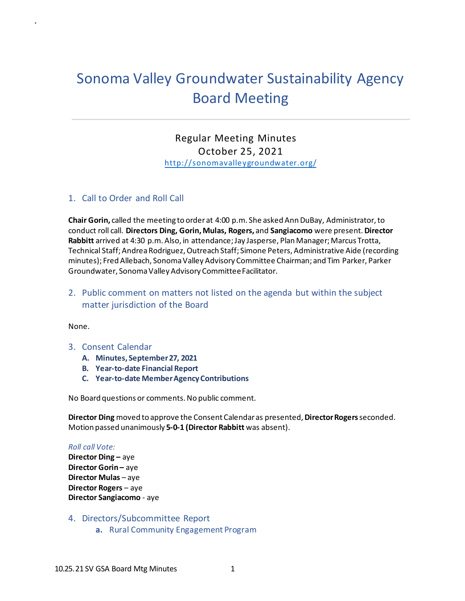# Sonoma Valley Groundwater Sustainability Agency Board Meeting

 Regular Meeting Minutes October 25, 2021 [http://sonomavalleygroundwater.org/](https://sonomavalleygroundwater.org/)

#### 1. Call to Order and Roll Call

**Chair Gorin,** called the meeting to orderat 4:00 p.m. She asked Ann DuBay, Administrator,to conduct roll call. **Directors Ding, Gorin, Mulas, Rogers,** and **Sangiacomo** were present. **Director Rabbitt** arrived at 4:30 p.m. Also, in attendance; Jay Jasperse, Plan Manager; Marcus Trotta, Technical Staff; Andrea Rodriguez, Outreach Staff; Simone Peters, Administrative Aide (recording minutes); Fred Allebach, Sonoma Valley Advisory Committee Chairman; and Tim Parker, Parker Groundwater, Sonoma Valley Advisory Committee Facilitator.

# 2. Public comment on matters not listed on the agenda but within the subject matter jurisdiction of the Board

#### None.

.

- 3. Consent Calendar
	- **A. Minutes, September 27, 2021**
	- **B. Year-to-date Financial Report**
	- **C. Year-to-date Member Agency Contributions**

No Board questions or comments. No public comment.

**Director Ding** moved to approve the Consent Calendar as presented, **Director Rogers** seconded. Motion passed unanimously **5-0-1 (Director Rabbitt** was absent).

#### *Roll call Vote:*

**Director Ding –** aye **Director Gorin - aye Director Mulas** – aye **Director Rogers** – aye **Director Sangiacomo** - aye

- 4. Directors/Subcommittee Report
	- **a.** Rural Community Engagement Program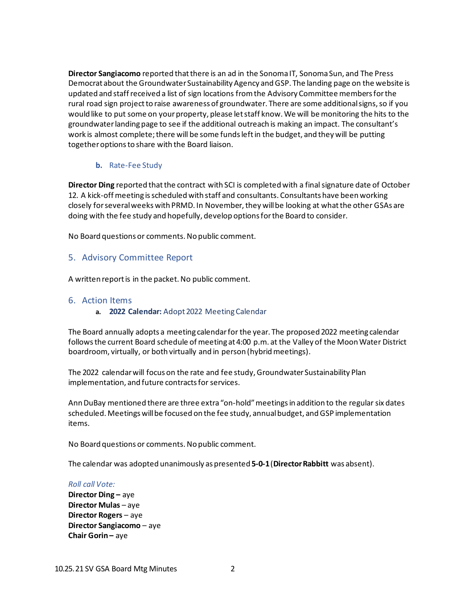updated and staff received a list of sign locations from the Advisory Committee members for the rural road sign project to raise awareness of groundwater. There are some additional signs, so if you would like to put some on your property, please let staff know. We will be monitoring the hits to the groundwater landing page to see if the additional outreach is making an impact. The consultant's work is almost complete; there will be some funds left in the budget, and they will be putting together options to share with the Board liaison. **Director Sangiacomo** reported that there is an ad in the Sonoma IT, Sonoma Sun, and The Press Democrat about the Groundwater Sustainability Agency and GSP. The landing page on the website is

## **b.** Rate-Fee Study

 **Director Ding** reported that the contract with SCI is completed with a final signature date of October closely for several weeks with PRMD. In November, they will be looking at what the other GSAs are doing with the fee study and hopefully, develop options for the Board to consider. 12. A kick-off meeting is scheduled with staff and consultants. Consultants have been working

No Board questions or comments. No public comment.

## 5. Advisory Committee Report

A written report is in the packet. No public comment.

# 6. Action Items

**a. 2022 Calendar:** Adopt 2022 Meeting Calendar

 The Board annually adopts a meeting calendar for the year. The proposed 2022 meeting calendar follows the current Board schedule of meeting at 4:00 p.m. at the Valley of the Moon Water District boardroom, virtually, or both virtually and in person (hybrid meetings).

The 2022 calendar will focus on the rate and fee study, Groundwater Sustainability Plan implementation, and future contracts for services.

 Ann DuBay mentioned there are three extra "on-hold" meetings in addition to the regular six dates scheduled. Meetings will be focused on the fee study, annual budget, and GSP implementation items.

No Board questions or comments. No public comment.

 The calendar was adopted unanimously as presented **5-0-1** (**Director Rabbitt** was absent).

#### *Roll call Vote:*

 **Director Ding –** aye **Director Mulas** – aye **Director Rogers** – aye **Director Sangiacomo** – aye  **Chair Gorin –** aye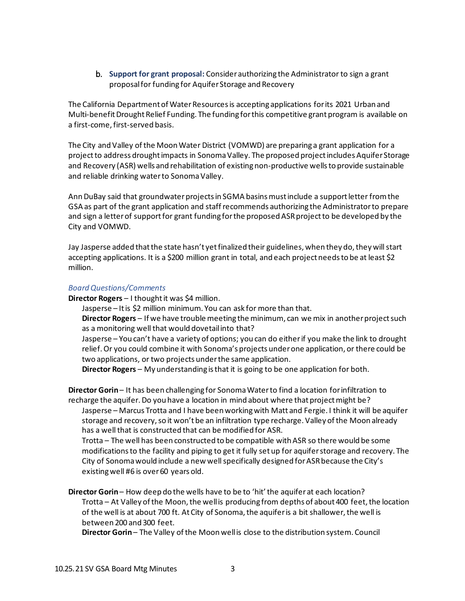b. **Support for grant proposal:** Consider authorizing the Administrator to sign a grant proposal for funding for Aquifer Storage and Recovery

 The California Department of Water Resources is accepting applications for its 2021 Urban and Multi-benefit Drought Relief Funding. The funding for this competitive grant program is available on a first-come, first-served basis.

 The City and Valley of the Moon Water District (VOMWD) are preparing a grant application for a and reliable drinking water to Sonoma Valley. project to address drought impacts in Sonoma Valley. The proposed project includes Aquifer Storage and Recovery (ASR) wells and rehabilitation of existing non-productive wells to provide sustainable

 Ann DuBay said that groundwater projects in SGMA basins must include a support letter from the GSA as part of the grant application and staff recommends authorizing the Administrator to prepare and sign a letter of support for grant funding for the proposed ASR project to be developed by the City and VOMWD.

 accepting applications. It is a \$200 million grant in total, and each project needs to be at least \$2 Jay Jasperse added that the state hasn't yet finalized their guidelines, when they do, they will start million.

## *Board Questions/Comments*

**Director Rogers** – I thought it was \$4 million.

 Jasperse – It is \$2 million minimum. You can ask for more than that. **Director Rogers** – If we have trouble meeting the minimum, can we mix in another project such as a monitoring well that would dovetail into that?

 Jasperse – You can't have a variety of options; you can do either if you make the link to drought relief. Or you could combine it with Sonoma's projects under one application, or there could be two applications, or two projects under the same application.

**Director Rogers** – My understanding is that it is going to be one application for both.

 **Director Gorin** – It has been challenging for Sonoma Water to find a location for infiltration to recharge the aquifer. Do you have a location in mind about where that project might be? Jasperse – Marcus Trotta and I have been working with Matt and Fergie. I think it will be aquifer Trotta – The well has been constructed to be compatible with ASR so there would be some modifications to the facility and piping to get it fully set up for aquifer storage and recovery. The City of Sonoma would include a new well specifically designed for ASR because the City's existing well #6 is over 60 years old. **Director Gorin** – How deep do the wells have to be to 'hit' the aquifer at each location? Trotta – At Valley of the Moon, the well is producing from depths of about 400 feet, the location of the well is at about 700 ft. At City of Sonoma, the aquifer is a bit shallower, the well is storage and recovery, so it won't be an infiltration type recharge. Valley of the Moon already has a well that is constructed that can be modified for ASR. between 200 and 300 feet.

**Director Gorin** – The Valley of the Moon well is close to the distribution system. Council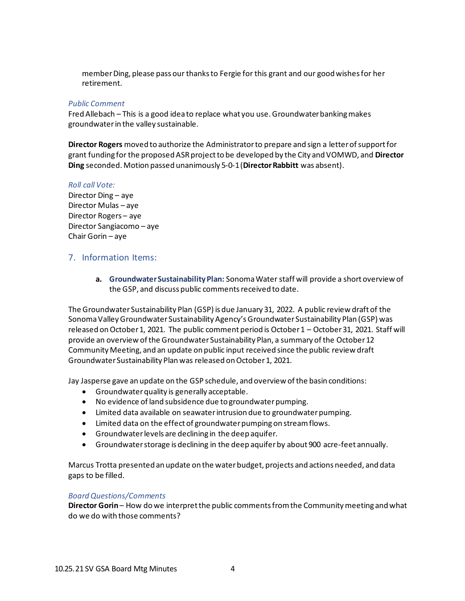member Ding, please pass our thanks to Fergie for this grant and our good wishes for her retirement.

#### *Public Comment*

Fred Allebach – This is a good idea to replace what you use. Groundwater banking makes groundwater in the valley sustainable.

**Director Rogers** moved to authorize the Administrator to prepare and sign a letter of support for grant funding for the proposed ASR project to be developed by the City and VOMWD, and **Director Ding** seconded. Motion passed unanimously 5-0-1 (**Director Rabbitt** was absent).

#### *Roll call Vote:*

Director Ding – aye Director Mulas – aye Director Rogers – aye Director Sangiacomo – aye Chair Gorin – aye

## 7. Information Items:

**a. Groundwater Sustainability Plan:** Sonoma Water staff will provide a short overview of the GSP, and discuss public comments received to date.

The Groundwater Sustainability Plan (GSP) is due January 31, 2022. A public review draft of the Sonoma Valley Groundwater Sustainability Agency's Groundwater Sustainability Plan (GSP) was released on October 1, 2021. The public comment period is October 1 – October 31, 2021. Staff will provide an overview of the Groundwater Sustainability Plan, a summary of the October 12 Community Meeting, and an update on public input received since the public review draft Groundwater Sustainability Plan was released on October 1, 2021.

Jay Jasperse gave an update on the GSP schedule, and overview of the basin conditions:

- Groundwater quality is generally acceptable.
- No evidence of land subsidence due to groundwater pumping.
- Limited data available on seawater intrusion due to groundwater pumping.
- Limited data on the effect of groundwater pumping on stream flows.
- Groundwater levels are declining in the deep aquifer.
- Groundwater storage is declining in the deep aquifer by about 900 acre-feet annually.

Marcus Trotta presented an update on the water budget, projects and actions needed, and data gaps to be filled.

#### *Board Questions/Comments*

**Director Gorin** – How do we interpret the public comments from the Community meeting and what do we do with those comments?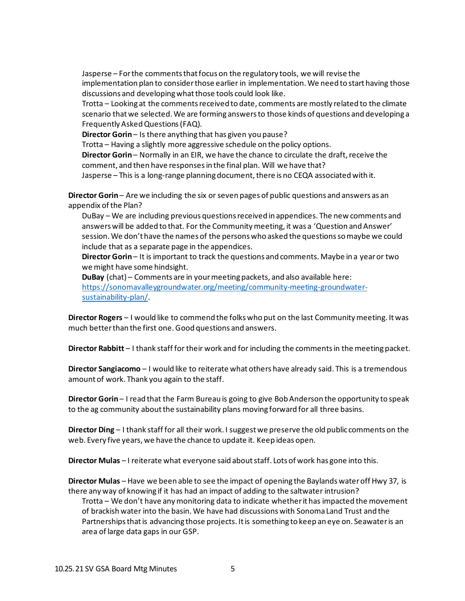Jasperse – For the comments that focus on the regulatory tools, we will revise the implementation plan to consider those earlier in implementation. We need to start having those discussions and developing what those tools could look like.

 Trotta – Looking at the comments received to date, comments are mostly related to the climate scenario that we selected. We are forming answers to those kinds of questions and developing a Frequently Asked Questions (FAQ).

**Director Gorin** – Is there anything that has given you pause?

Trotta – Having a slightly more aggressive schedule on the policy options.

 **Director Gorin** – Normally in an EIR, we have the chance to circulate the draft, receive the comment, and then have responses in the final plan. Will we have that?

Jasperse – This is a long-range planning document, there is no CEQA associated with it.

 **Director Gorin** – Are we including the six or seven pages of public questions and answers as an appendix of the Plan?

 DuBay – We are including previous questions received in appendices. The new comments and answers will be added to that. For the Community meeting, it was a 'Question and Answer' include that as a separate page in the appendices. session. We don't have the names of the persons who asked the questions so maybe we could

 **Director Gorin** – It is important to track the questions and comments. Maybe in a year or two we might have some hindsight.

 **DuBay** (chat) – Comments are in your meeting packets, and also available here: [https://sonomavalleygroundwater.org/meeting/community-meeting-groundwater](https://sonomavalleygroundwater.org/meeting/community-meeting-groundwater-sustainability-plan/)[sustainability-plan/.](https://sonomavalleygroundwater.org/meeting/community-meeting-groundwater-sustainability-plan/)

 **Director Rogers** – I would like to commend the folks who put on the last Community meeting. It was much better than the first one. Good questions and answers.

**Director Rabbitt** – I thank staff for their work and for including the comments in the meeting packet.

 **Director Sangiacomo** – I would like to reiterate what others have already said. This is a tremendous amount of work. Thank you again to the staff.

 **Director Gorin** – I read that the Farm Bureau is going to give Bob Anderson the opportunity to speak to the ag community about the sustainability plans moving forward for all three basins.

 **Director Ding** – I thank staff for all their work. I suggest we preserve the old public comments on the web. Every five years, we have the chance to update it. Keep ideas open.

**Director Mulas** – I reiterate what everyone said about staff. Lots of work has gone into this.

 **Director Mulas** – Have we been able to see the impact of opening the Baylands water off Hwy 37, is there any way of knowing if it has had an impact of adding to the saltwater intrusion?

 Trotta – We don't have any monitoring data to indicate whether it has impacted the movement of brackish water into the basin. We have had discussions with Sonoma Land Trust and the Partnerships that is advancing those projects. It is something to keep an eye on. Seawater is an area of large data gaps in our GSP.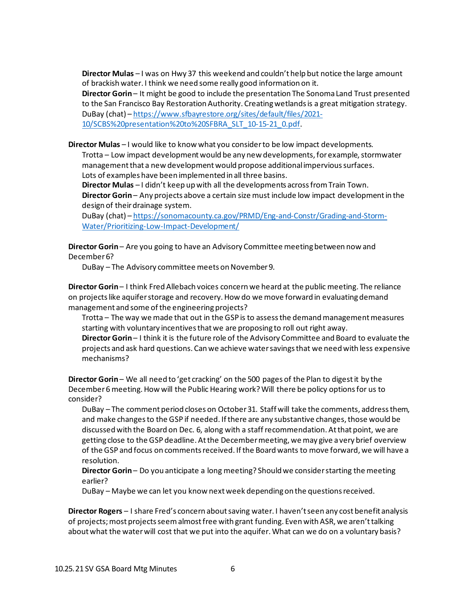**Director Mulas** – I was on Hwy 37 this weekend and couldn't help but notice the large amount of brackish water. I think we need some really good information on it.

 **Director Gorin** – It might be good to include the presentation The Sonoma Land Trust presented to the San Francisco Bay Restoration Authority. Creating wetlands is a great mitigation strategy. DuBay (chat) – [https://www.sfbayrestore.org/sites/default/files/2021-](https://www.sfbayrestore.org/sites/default/files/2021-10/SCBS%20presentation%20to%20SFBRA_SLT_10-15-21_0.pdf)

[10/SCBS%20presentation%20to%20SFBRA\\_SLT\\_10-15-21\\_0.pdf](https://www.sfbayrestore.org/sites/default/files/2021-10/SCBS%20presentation%20to%20SFBRA_SLT_10-15-21_0.pdf).

**Director Mulas** – I would like to know what you consider to be low impact developments.

 Trotta – Low impact development would be any new developments, for example, stormwater management that a new development would propose additional impervious surfaces. Lots of examples have been implemented in all three basins.

 **Director Gorin** – Any projects above a certain size must include low impact development in the **Director Mulas** – I didn't keep up with all the developments across from Train Town. design of their drainage system.

DuBay (chat) – [https://sonomacounty.ca.gov/PRMD/Eng-and-Constr/Grading-and-Storm-](https://sonomacounty.ca.gov/PRMD/Eng-and-Constr/Grading-and-Storm-Water/Prioritizing-Low-Impact-Development/)[Water/Prioritizing-Low-Impact-Development/](https://sonomacounty.ca.gov/PRMD/Eng-and-Constr/Grading-and-Storm-Water/Prioritizing-Low-Impact-Development/) 

 **Director Gorin** – Are you going to have an Advisory Committee meeting between now and December 6?

DuBay – The Advisory committee meets on November 9.

 **Director Gorin** – I think Fred Allebach voices concern we heard at the public meeting. The reliance on projects like aquifer storage and recovery. How do we move forward in evaluating demand management and some of the engineering projects?

 Trotta – The way we made that out in the GSP is to assess the demand management measures starting with voluntary incentives that we are proposing to roll out right away.

 **Director Gorin** – I think it is the future role of the Advisory Committee and Board to evaluate the projects and ask hard questions. Can we achieve water savings that we need with less expensive mechanisms?

 **Director Gorin** – We all need to 'get cracking' on the 500 pages of the Plan to digest it by the December 6 meeting. How will the Public Hearing work? Will there be policy options for us to consider?

 DuBay – The comment period closes on October 31. Staff will take the comments, address them, and make changes to the GSP if needed. If there are any substantive changes, those would be discussed with the Board on Dec. 6, along with a staff recommendation. At that point, we are getting close to the GSP [deadline.](https://deadline.At) At the December meeting, we may give a very brief overview of the GSP and focus on comments received. If the Board wants to move forward, we will have a resolution.

 **Director Gorin** – Do you anticipate a long meeting? Should we consider starting the meeting earlier?

DuBay – Maybe we can let you know next week depending on the questions received.

 **Director Rogers** – I share Fred's concern about saving water. I haven't seen any cost benefit analysis about what the water will cost that we put into the aquifer. What can we do on a voluntary basis? of projects; most projects seem almost free with grant funding. Even with ASR, we aren't talking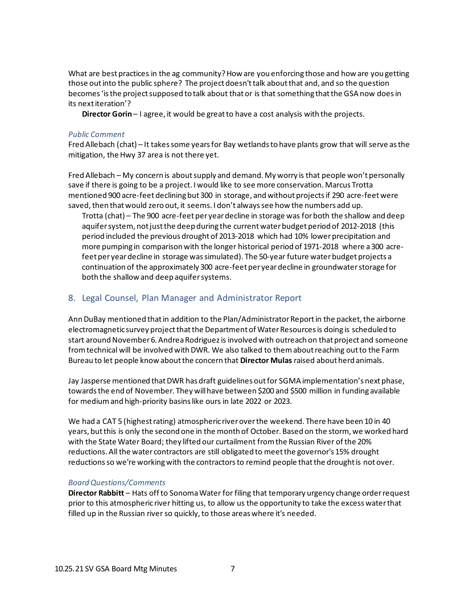What are best practices in the ag community? How are you enforcing those and how are you getting those out into the public sphere? The project doesn't talk about that and, and so the question becomes 'is the project supposed to talk about that or is that something that the GSA now does in its next iteration'?

**Director Gorin** – I agree, it would be great to have a cost analysis with the projects.

### *Public Comment*

 Fred Allebach (chat) – It takes some years for Bay wetlands to have plants grow that will serve as the mitigation, the Hwy 37 area is not there yet.

 Fred Allebach – My concern is about supply and demand. My worry is that people won't personally save if there is going to be a project. I would like to see more conservation. Marcus Trotta mentioned 900 acre-feet declining but 300 in storage, and without projects if 290 acre-feet were saved, then that would zero out, it seems. I don't always see how the numbers add up.

 period included the previous drought of 2013-2018 which had 10% lower precipitation and more pumping in comparison with the longer historical period of 1971-2018 where a 300 acre-Trotta (chat) – The 900 acre-feet per year decline in storage was for both the shallow and deep aquifer system, not just the deep during the current water budget period of 2012-2018 (this feet per year decline in storage was simulated). The 50-year future water budget projects a continuation of the approximately 300 acre-feet per year decline in groundwater storage for both the shallow and deep aquifer systems.

# 8. Legal Counsel, Plan Manager and Administrator Report

electromagnetic survey project that the Department of Water Resources is doing is scheduled to from technical will be involved with DWR. We also talked to them about reaching out to the Farm Bureau to let people know about the concern that **Director Mulas** raised about herd animals. Ann DuBay mentioned that in addition to the Plan/Administrator Report in the packet, the airborne start around November 6. Andrea Rodriguez is involved with outreach on that project and someone

 Jay Jasperse mentioned that DWR has draft guidelines out for SGMA implementation's next phase, towards the end of November. They will have between \$200 and \$500 million in funding available for medium and high-priority basins like ours in late 2022 or 2023.

We had a CAT 5 (highest rating) atmospheric river over the weekend. There have been 10 in 40 years, but this is only the second one in the month of October. Based on the storm, we worked hard with the State Water Board; they lifted our curtailment from the Russian River of the 20% reductions. All the water contractors are still obligated to meet the governor's 15% drought reductions so we're working with the contractors to remind people that the drought is not over.

#### *Board Questions/Comments*

 **Director Rabbitt** – Hats off to Sonoma Water for filing that temporary urgency change order request prior to this atmosphericriver hitting us, to allow us the opportunity to take the excess water that filled up in the Russian river so quickly, to those areas where it's needed.